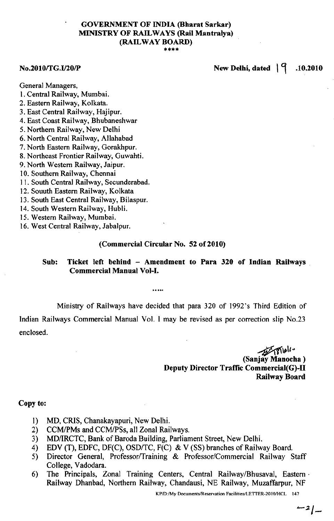## GOVERNMENT OF INDIA (Bharat Sarkar) MINISTRY OF RAILWAYS (Rail Mantralya) (RAILWAY BOARD) \*\*\*\*

## $N_{\rm e}$ .2010/TG.I/20/P New Delhi, dated  $|q|$  .10.2010

General Managers,

- I. Central Railway, Mumbai.
- 2. Eastern Railway, Kolkata.
- 3. East Central Railway, Hajipur.
- 4. East Coast Railway, Bhubaneshwar
- 5. Northern Railway, New Delhi
- 6. North Central Railway, Allahabad
- 7. North Eastern Railway, Gorakhpur.
- 8. Northeast Frontier Railway, Guwahti.
- 9. North Western Railway, Jaipur.
- 10. Southern Railway, Chennai
- II. South Central Railway, Secunderabad.
- 12. Souuth Eastern Railway, Kolkata
- 13. South East Central Railway, Bilaspur.
- 14. South Western Railway, Hubli.
- 15.Western Railway, Mumbai.
- 16.West Central Railway, Jabalpur.

#### (Commercial Circular No. 52 of 2010)

#### Sub: Ticket left behind - Amendment to Para <sup>320</sup> of Indian Railways Commercial Manual Vol-I.

Ministry of Railways have decided that para 320 of 1992's Third Edition of

Indian Railways Commercial Manual Vol. I may be revised as per correction slip No.23 enclosed.

> *~\;Il"* (Sanjay Manocha) Deputy Director Traffic Commercial(G)-II Railway Board

#### Copy to:

- 1) MD, CRIS, Chanakayapuri, New Delhi.
- 2) CCM/PMs and CCM/PSs, all Zonal Railways.<br>3) MD/IRCTC, Bank of Baroda Building, Parlian
- MD/IRCTC, Bank of Baroda Building, Parliament Street, New Delhi.
- 4) EDV (T), EDFC, DF(C), OSD/TC, F(C) & V (SS) branches of Railway Board.<br>5) Director General, Professor/Training & Professor/Commercial Railway S
- Director General, Professor/Training & Professor/Commercial Railway Staff College, Vadodara.
- 6) The Principals, Zonal Training Centers, Central Railway/Bhusaval, Eastern. Railway Dhanbad, Northern Railway, Chandausi, NE Railway, Muzaffarpur, NF

KP/D:/My Documents/Reservation Facilities/LETTER-2010/HCL 147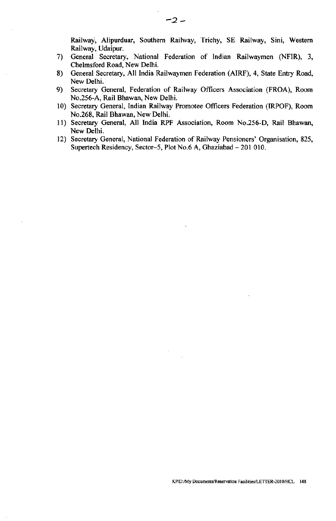Railway, Alipurduar, Southern Railway, Trichy, SE Railway, Sini, Western Railway, Udaipur.

- 7) General Secretary, National Federation of Indian Railwaymen (NFIR), 3, Chelmsford Road, New Delhi.
- 8) General Secretary, All India Railwaymen Federation (AIRF), 4, State Entry Road, New Delhi.
- 9) Secretary General, Federation of Railway Officers Association (FROA), Room No.256-A, Rail Bhawan, New Delhi.
- 10) Secretary General, Indian Railway Promotee Officers Federation (IRPOF), Room No.268, Rail Bhawan, New Delhi.
- 11) Secretary General, All India RPF Association, Room No.256-D, Rail Bhawan, New Delhi.
- 12) Secretary General, National Federation of Railway Pensioners' Organisation, 825, Supertech Residency, Sector-5, Plot No.6 A, Ghaziabad - 201 010.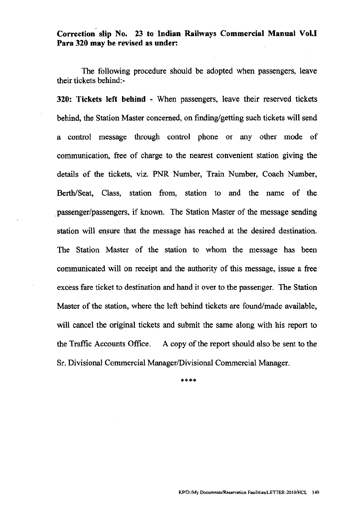Correction slip No. 23 to Indian Railways Commercial Manual Vol.I Para 320 may be revised as under:

The following procedure should be adopted when passengers, leave their tickets behind:-

320: Tickets left behind - When passengers, leave their reserved tickets behind, the Station Master concerned, on finding/getting such tickets will send a control message through control phone or any other mode of communication, free of charge to the nearest convenient station giving the details of the tickets, viz. PNR Number, Train Number, Coach Number, Berth/Seat, Class, station from, station to and the name of the . passenger/passengers, if known. The Station Master of the message sending station will ensure that the message has reached at the desired destination. The Station Master of the station to whom the message has been communicated will on receipt and the authority of this message, issue a free excess fare ticket to destination and hand it over to the passenger. The Station Master of the station, where the left behind tickets are found/made available, will cancel the original tickets and submit the same along with his report to the Traffic Accounts Office. A copy of the report should also be sent to the Sr. Divisional Commercial Manager/Divisional Commercial Manager.

\*\*\*\*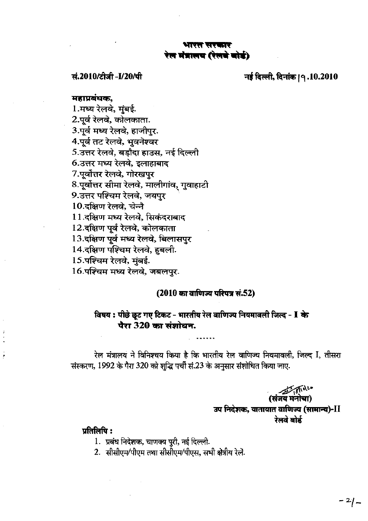## भारत सरका रेल मंत्रालय (रेलचे बोर्ड)

सं.2010/टीजी -I/20/पी बार के बाद करने हैं दिल्ली, दिनांक। 9.10.2010

#### tot~ I**MCS;~ en,**

1. मध्य रेलवे, मुंबई. 2.पूर्व रेलवे, कोलकाता. 3.पूर्व मध्य रेलवे, हाजीपुर. 4.पूर्व तट रेलवे, भुवनेश्वर  $5.3$ त्तर रेलवे, बडौदा हाउस, नई दिल्ली 6.उत्तर मध्य रेलवे, इलाहाबाद 7.पूर्वोत्तर रेलवे, गोरखपुर 8.पूर्वोत्तर सीमा रेलवे, मालीगांव, गुवाहाटी 9. उत्तर पश्चिम रेलवे, जयपुर 10. दक्षिण रेलवे, चेन्नै 11. दक्षिण मध्य रेलवे, सिकंदराबाद 12.दक्षिण पूर्व रेलवे, कोलकाता 13. दक्षिण पूर्व मध्य रेलवे, बिलासपुर 14. दक्षिण पश्चिम रेलवे, हूबली. 15.पश्चिम रेलवे, मुंबई. 16.पश्चिम मध्य रेलवे, जबलपर.

#### **(2010 का वाणिज्य परिपत्र सं.52)**

# विषय : पीछे छूट गए टिकट - भारतीय रेल वाणिज्य नियमावली जिल्द - I के पैरा 320 का संशोधन.

रेल मंत्रालय ने विनिश्चय किया है कि भारतीय रेल वाणिज्य नियमावली, जिल्द I, तीसरा संस्करण, 1992 के पैरा 320 को शब्दि पर्ची सं.23 के अनुसार संशोधित किया जाए.

> $\mathbb{Z} \rightarrow \mathbb{Z}$ (सजय मनाचा) उप निदेशक, यातायात वाणिज्य (सामान्य)-II रेलवे बोर्ड

## $\overline{u}$ तिलिपि $\overline{u}$ :

- 1. प्रबंध निदेशक, चाणक्य पूरी, नई दिल्ली.
- 2. सीसीएम/पीएम तथा सीसीएम/पीएस. सभी क्षेत्रीय रेले.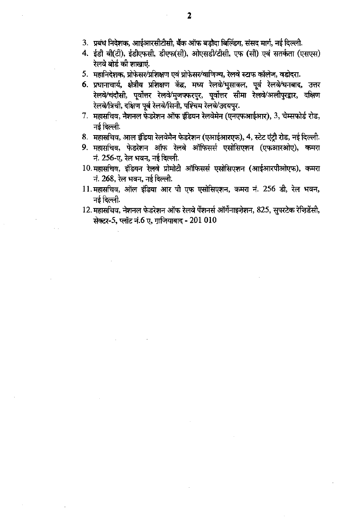- 3. प्रबंध निदेशक, आईआरसीटीसी, बैंक ऑफ बड़ौदा बिल्डिंग, संसद मार्ग, नई दिल्ली.
- 4. ईडी वी(टी), ईडीएफसी, डीएफ(सी), ओएसडी/टीसी, एफ (सी) एवं सतर्कता (एसएस) रेलवे बोर्ड की शाखाएं.
- $5.$  महानिदेशक, प्रोफेसर/प्रशिक्षण एवं प्रोफेसर/वाणिज्य, रेलवे स्टाफ कॉलेज, वडोदरा.
- 6. प्रधानाचार्य, क्षेत्रीय प्रशिक्षण केंद्र, मध्य रेलवे/भुसावल, पूर्व रेलवे/धनबाद, उत्तर रेलवे/चंदौसी, पूर्वोत्तर रेलवे/मुजफ्फरपुर, पूर्वोत्तर सीमा रेलवे/अलीपुरद्वार, दक्षिण रेलवे/त्रिची, दक्षिण पूर्व रेलवे/सिनी, पश्चिम रेलवे/उदयपुर.
- $7.$  महासचिव, नैशनल फेडरेशन ऑफ इंडियन रेलवेमेन (एनएफआईआर), 3, चेम्सफोर्ड रोड,  $-$ नई दिल्ली.
- 8. महासचिव, आल इंडिया रेलवेमैन फेडरेशन (एआईआरएफ), 4, स्टेट एंटी रोड, नई दिल्ली.
- 9. महासचिव, फेडरेशन ऑफ रेलवे ऑफिसर्स एसोसिएशन (एफआरओए), कमरा नं. 256-ए, रेल भवन, नई दिल्ली.
- 10. महासचिव, इंडियन रेलवे प्रोमोटी ऑफिसर्स एसोसिएशन (आईआरपीओएफ), कमरा नं.  $268$ , रेल भवन, नई दिल्ली.
- $11.$  महासचिव, ऑल इंडिया आर पी एफ एसोसिएशन, कमरा नं. 256 डी, रेल भवन,  $-$ नई दिल्ली.
- $12.$  महासचिव, नेशनल फेडरेशन ऑफ रेलवे पेंशनर्स ऑर्गेनाइजेशन, 825, सुपरटेक रेजिडेंसी, सेक्टर-5, प्लॉट नं.6 ए, गाजियाबाद - 201 010